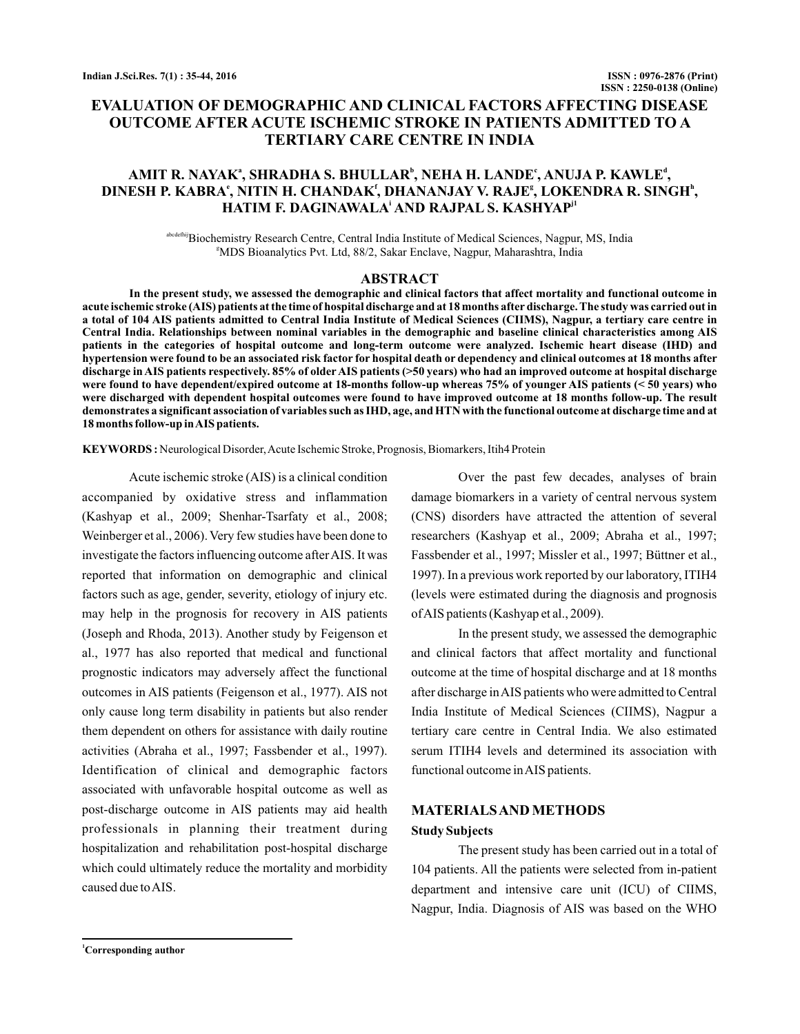# **EVALUATION OF DEMOGRAPHIC AND CLINICAL FACTORS AFFECTING DISEASE OUTCOME AFTER ACUTE ISCHEMIC STROKE IN PATIENTS ADMITTED TO A TERTIARY CARE CENTRE IN INDIA**

# **AMIT R. NAYAK , SHRADHA S. BHULLAR , NEHA H. LANDE , ANUJA P. KAWLE , a b c d** DINESH P. KABRA°, NITIN H. CHANDAK', DHANANJAY V. RAJE'', LOKENDRA R. SINGH<sup>ь</sup>,  $\bm{\mathsf{HATIM}}$  F. DAGINAWALA' AND RAJPAL S. KASHYAP<sup>ji</sup>

abcdefhijBiochemistry Research Centre, Central India Institute of Medical Sciences, Nagpur, MS, India g MDS Bioanalytics Pvt. Ltd, 88/2, Sakar Enclave, Nagpur, Maharashtra, India

### **ABSTRACT**

**In the present study, we assessed the demographic and clinical factors that affect mortality and functional outcome in acute ischemic stroke (AIS) patients at the time of hospital discharge and at 18 months after discharge. The study was carried out in a total of 104 AIS patients admitted to Central India Institute of Medical Sciences (CIIMS), Nagpur, a tertiary care centre in Central India. Relationships between nominal variables in the demographic and baseline clinical characteristics among AIS patients in the categories of hospital outcome and long-term outcome were analyzed. Ischemic heart disease (IHD) and hypertension were found to be an associated risk factor for hospital death or dependency and clinical outcomes at 18 months after discharge in AIS patients respectively. 85% of older AIS patients (>50 years) who had an improved outcome at hospital discharge were found to have dependent/expired outcome at 18-months follow-up whereas 75% of younger AIS patients (< 50 years) who were discharged with dependent hospital outcomes were found to have improved outcome at 18 months follow-up. The result demonstrates a significant association of variables such as IHD, age, and HTN with the functional outcome at discharge time and at 18 months follow-up inAIS patients.**

KEYWORDS: Neurological Disorder, Acute Ischemic Stroke, Prognosis, Biomarkers, Itih4 Protein

Acute ischemic stroke (AIS) is a clinical condition accompanied by oxidative stress and inflammation (Kashyap et al., 2009; Shenhar-Tsarfaty et al., 2008; Weinberger et al., 2006). Very few studies have been done to investigate the factors influencing outcome afterAIS. It was reported that information on demographic and clinical factors such as age, gender, severity, etiology of injury etc. may help in the prognosis for recovery in AIS patients (Joseph and Rhoda, 2013). Another study by Feigenson et al., 1977 has also reported that medical and functional prognostic indicators may adversely affect the functional outcomes in AIS patients (Feigenson et al., 1977). AIS not only cause long term disability in patients but also render them dependent on others for assistance with daily routine activities (Abraha et al., 1997; Fassbender et al., 1997). Identification of clinical and demographic factors associated with unfavorable hospital outcome as well as post-discharge outcome in AIS patients may aid health professionals in planning their treatment during hospitalization and rehabilitation post-hospital discharge which could ultimately reduce the mortality and morbidity caused due toAIS.

Over the past few decades, analyses of brain damage biomarkers in a variety of central nervous system (CNS) disorders have attracted the attention of several researchers (Kashyap et al., 2009; Abraha et al., 1997; Fassbender et al., 1997; Missler et al., 1997; Büttner et al., 1997). In a previous work reported by our laboratory, ITIH4 (levels were estimated during the diagnosis and prognosis ofAIS patients (Kashyap et al., 2009).

In the present study, we assessed the demographic and clinical factors that affect mortality and functional outcome at the time of hospital discharge and at 18 months after discharge inAIS patients who were admitted to Central India Institute of Medical Sciences (CIIMS), Nagpur a tertiary care centre in Central India. We also estimated serum ITIH4 levels and determined its association with functional outcome inAIS patients.

# **MATERIALSAND METHODS Study Subjects**

The present study has been carried out in a total of 104 patients. All the patients were selected from in-patient department and intensive care unit (ICU) of CIIMS, Nagpur, India. Diagnosis of AIS was based on the WHO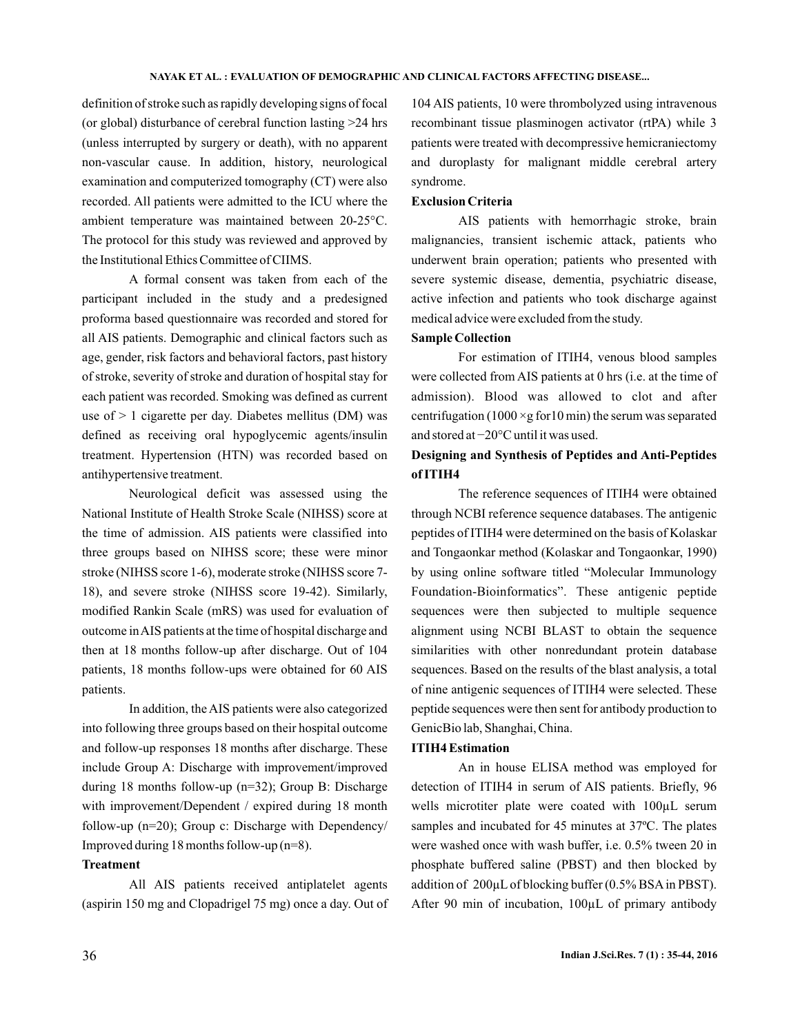definition of stroke such as rapidly developing signs of focal (or global) disturbance of cerebral function lasting >24 hrs (unless interrupted by surgery or death), with no apparent non-vascular cause. In addition, history, neurological examination and computerized tomography (CT) were also recorded. All patients were admitted to the ICU where the ambient temperature was maintained between 20-25°C. The protocol for this study was reviewed and approved by the Institutional Ethics Committee of CIIMS.

A formal consent was taken from each of the participant included in the study and a predesigned proforma based questionnaire was recorded and stored for all AIS patients. Demographic and clinical factors such as age, gender, risk factors and behavioral factors, past history of stroke, severity of stroke and duration of hospital stay for each patient was recorded. Smoking was defined as current use of > 1 cigarette per day. Diabetes mellitus (DM) was defined as receiving oral hypoglycemic agents/insulin treatment. Hypertension (HTN) was recorded based on antihypertensive treatment.

Neurological deficit was assessed using the National Institute of Health Stroke Scale (NIHSS) score at the time of admission. AIS patients were classified into three groups based on NIHSS score; these were minor stroke (NIHSS score 1-6), moderate stroke (NIHSS score 7- 18), and severe stroke (NIHSS score 19-42). Similarly, modified Rankin Scale (mRS) was used for evaluation of outcome inAIS patients at the time of hospital discharge and then at 18 months follow-up after discharge. Out of 104 patients, 18 months follow-ups were obtained for 60 AIS patients.

In addition, the AIS patients were also categorized into following three groups based on their hospital outcome and follow-up responses 18 months after discharge. These include Group A: Discharge with improvement/improved during 18 months follow-up (n=32); Group B: Discharge with improvement/Dependent / expired during 18 month follow-up (n=20); Group c: Discharge with Dependency/ Improved during 18 months follow-up  $(n=8)$ .

## **Treatment**

All AIS patients received antiplatelet agents (aspirin 150 mg and Clopadrigel 75 mg) once a day. Out of

104 AIS patients, 10 were thrombolyzed using intravenous recombinant tissue plasminogen activator (rtPA) while 3 patients were treated with decompressive hemicraniectomy and duroplasty for malignant middle cerebral artery syndrome.

## **Exclusion Criteria**

AIS patients with hemorrhagic stroke, brain malignancies, transient ischemic attack, patients who underwent brain operation; patients who presented with severe systemic disease, dementia, psychiatric disease, active infection and patients who took discharge against medical advice were excluded from the study.

### **Sample Collection**

For estimation of ITIH4, venous blood samples were collected from AIS patients at 0 hrs (i.e. at the time of admission). Blood was allowed to clot and after centrifugation (1000  $\times$ g for 10 min) the serum was separated and stored at −20°C until it was used.

## **Designing and Synthesis of Peptides and Anti-Peptides of ITIH4**

The reference sequences of ITIH4 were obtained through NCBI reference sequence databases. The antigenic peptides of ITIH4 were determined on the basis of Kolaskar and Tongaonkar method (Kolaskar and Tongaonkar, 1990) by using online software titled "Molecular Immunology Foundation-Bioinformatics". These antigenic peptide sequences were then subjected to multiple sequence alignment using NCBI BLAST to obtain the sequence similarities with other nonredundant protein database sequences. Based on the results of the blast analysis, a total of nine antigenic sequences of ITIH4 were selected. These peptide sequences were then sent for antibody production to GenicBio lab, Shanghai, China.

### **ITIH4 Estimation**

An in house ELISA method was employed for detection of ITIH4 in serum of AIS patients. Briefly, 96 wells microtiter plate were coated with 100µL serum samples and incubated for 45 minutes at 37ºC. The plates were washed once with wash buffer, i.e. 0.5% tween 20 in phosphate buffered saline (PBST) and then blocked by addition of  $200 \mu L$  of blocking buffer (0.5% BSA in PBST). After 90 min of incubation, 100µL of primary antibody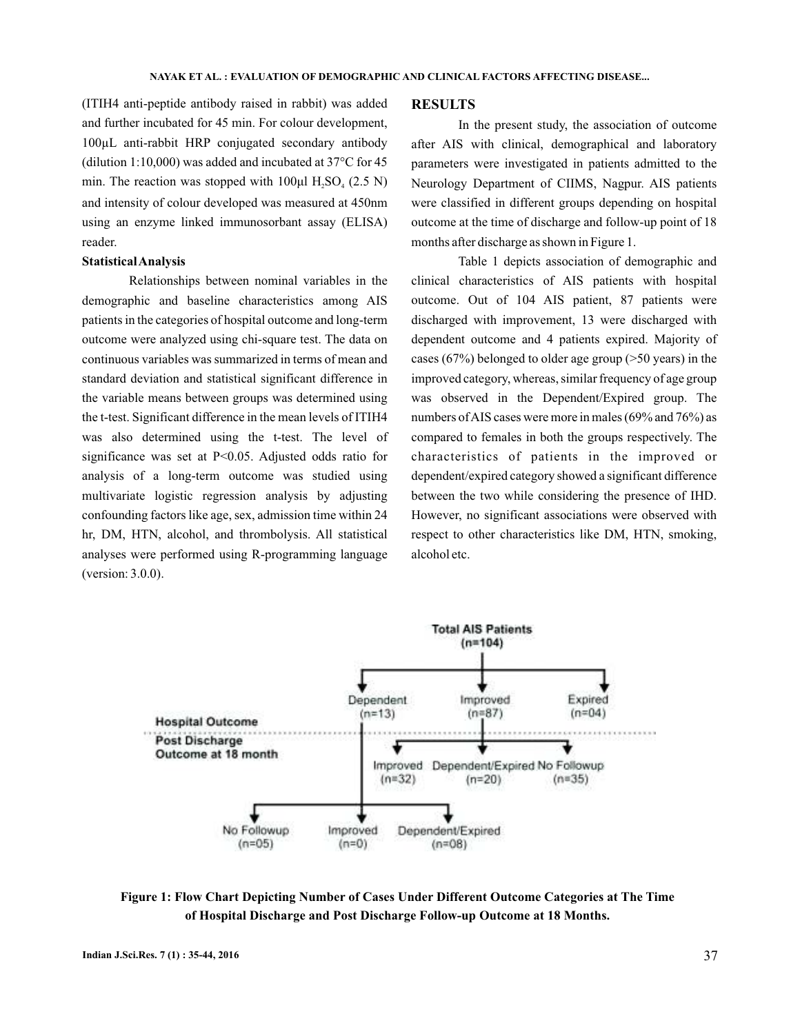(ITIH4 anti-peptide antibody raised in rabbit) was added and further incubated for 45 min. For colour development, 100µL anti-rabbit HRP conjugated secondary antibody (dilution 1:10,000) was added and incubated at 37°C for 45 min. The reaction was stopped with  $100\mu$ l H<sub>2</sub>SO<sub>4</sub> (2.5 N) and intensity of colour developed was measured at 450nm using an enzyme linked immunosorbant assay (ELISA) reader.

### **StatisticalAnalysis**

Relationships between nominal variables in the demographic and baseline characteristics among AIS patients in the categories of hospital outcome and long-term outcome were analyzed using chi-square test. The data on continuous variables was summarized in terms of mean and standard deviation and statistical significant difference in the variable means between groups was determined using the t-test. Significant difference in the mean levels of ITIH4 was also determined using the t-test. The level of significance was set at P<0.05. Adjusted odds ratio for analysis of a long-term outcome was studied using multivariate logistic regression analysis by adjusting confounding factors like age, sex, admission time within 24 hr, DM, HTN, alcohol, and thrombolysis. All statistical analyses were performed using R-programming language (version: 3.0.0).

#### **RESULTS**

In the present study, the association of outcome after AIS with clinical, demographical and laboratory parameters were investigated in patients admitted to the Neurology Department of CIIMS, Nagpur. AIS patients were classified in different groups depending on hospital outcome at the time of discharge and follow-up point of 18 months after discharge as shown in Figure 1.

Table 1 depicts association of demographic and clinical characteristics of AIS patients with hospital outcome. Out of 104 AIS patient, 87 patients were discharged with improvement, 13 were discharged with dependent outcome and 4 patients expired. Majority of cases (67%) belonged to older age group (>50 years) in the improved category, whereas, similar frequency of age group was observed in the Dependent/Expired group. The numbers ofAIS cases were more in males (69% and 76%) as compared to females in both the groups respectively. The characteristics of patients in the improved or dependent/expired category showed a significant difference between the two while considering the presence of IHD. However, no significant associations were observed with respect to other characteristics like DM, HTN, smoking, alcohol etc.



**Figure 1: Flow Chart Depicting Number of Cases Under Different Outcome Categories at The Time of Hospital Discharge and Post Discharge Follow-up Outcome at 18 Months.**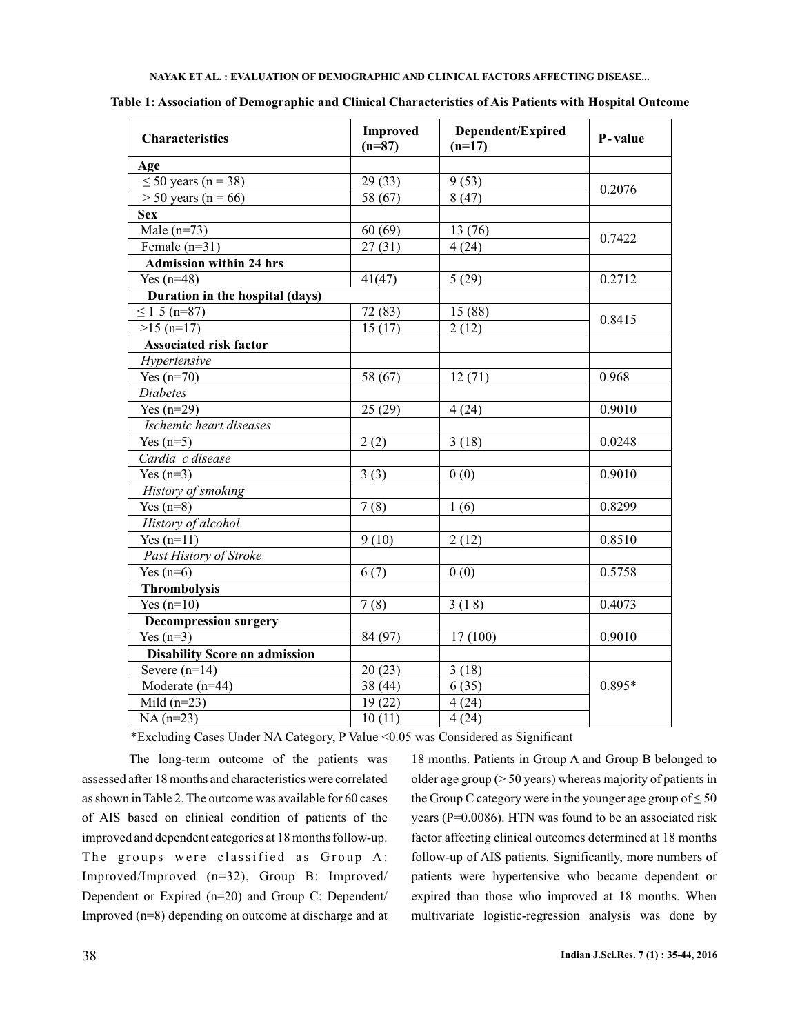| <b>Characteristics</b>               | <b>Improved</b><br>$(n=87)$ | Dependent/Expired<br>$(n=17)$ | P-value  |  |  |  |
|--------------------------------------|-----------------------------|-------------------------------|----------|--|--|--|
| Age                                  |                             |                               |          |  |  |  |
| $\leq 50$ years (n = 38)             | 29(33)                      | 9(53)                         |          |  |  |  |
| $>$ 50 years (n = 66)                | 58 (67)                     | 8(47)                         | 0.2076   |  |  |  |
| <b>Sex</b>                           |                             |                               |          |  |  |  |
| Male $(n=73)$                        | 60(69)                      | 13 (76)                       |          |  |  |  |
| Female $(n=31)$                      | 27(31)                      | 4(24)                         | 0.7422   |  |  |  |
| <b>Admission within 24 hrs</b>       |                             |                               |          |  |  |  |
| $\overline{Yes}$ (n=48)              | 41(47)                      | 5(29)                         | 0.2712   |  |  |  |
| Duration in the hospital (days)      |                             |                               |          |  |  |  |
| $\leq 1$ 5 (n=87)                    | 72 (83)                     | 15 (88)                       | 0.8415   |  |  |  |
| $\sqrt{>15(n=17)}$                   | 15(17)                      | 2(12)                         |          |  |  |  |
| <b>Associated risk factor</b>        |                             |                               |          |  |  |  |
| Hypertensive                         |                             |                               |          |  |  |  |
| Yes $(n=70)$                         | 58 (67)                     | 12(71)                        | 0.968    |  |  |  |
| <b>Diabetes</b>                      |                             |                               |          |  |  |  |
| Yes $(n=29)$                         | 25(29)                      | 4(24)                         | 0.9010   |  |  |  |
| Ischemic heart diseases              |                             |                               |          |  |  |  |
| Yes $(n=5)$                          | 2(2)                        | 3(18)                         | 0.0248   |  |  |  |
| Cardia c disease                     |                             |                               |          |  |  |  |
| Yes $(n=3)$                          | 3(3)                        | 0(0)                          | 0.9010   |  |  |  |
| History of smoking                   |                             |                               |          |  |  |  |
| Yes $(n=8)$                          | 7(8)                        | 1(6)                          | 0.8299   |  |  |  |
| History of alcohol                   |                             |                               |          |  |  |  |
| Yes $(n=11)$                         | 9(10)                       | 2(12)                         | 0.8510   |  |  |  |
| Past History of Stroke               |                             |                               |          |  |  |  |
| Yes $(n=6)$                          | 6(7)                        | 0(0)                          | 0.5758   |  |  |  |
| <b>Thrombolysis</b>                  |                             |                               |          |  |  |  |
| Yes $(n=10)$                         | 7(8)                        | 3(18)                         | 0.4073   |  |  |  |
| <b>Decompression surgery</b>         |                             |                               |          |  |  |  |
| Yes $(n=3)$                          | 84 (97)                     | 17(100)                       | 0.9010   |  |  |  |
| <b>Disability Score on admission</b> |                             |                               |          |  |  |  |
| Severe $(n=14)$                      | 20(23)                      | 3(18)                         | $0.895*$ |  |  |  |
| Moderate (n=44)                      | 38 (44)                     | 6(35)                         |          |  |  |  |
| Mild $(n=23)$                        | 19(22)                      | 4(24)                         |          |  |  |  |
| $NA(n=23)$                           | 10(11)                      | 4(24)                         |          |  |  |  |

**Table 1: Association of Demographic and Clinical Characteristics of Ais Patients with Hospital Outcome**

\*Excluding Cases Under NA Category, P Value <0.05 was Considered as Significant

The long-term outcome of the patients was assessed after 18 months and characteristics were correlated as shown in Table 2. The outcome was available for 60 cases of AIS based on clinical condition of patients of the improved and dependent categories at 18 months follow-up. The groups were classified as Group A: Improved/Improved (n=32), Group B: Improved/ Dependent or Expired (n=20) and Group C: Dependent/ Improved (n=8) depending on outcome at discharge and at

18 months. Patients in Group A and Group B belonged to older age group (> 50 years) whereas majority of patients in the Group C category were in the younger age group of  $\leq 50$ years (P=0.0086). HTN was found to be an associated risk factor affecting clinical outcomes determined at 18 months follow-up of AIS patients. Significantly, more numbers of patients were hypertensive who became dependent or expired than those who improved at 18 months. When multivariate logistic-regression analysis was done by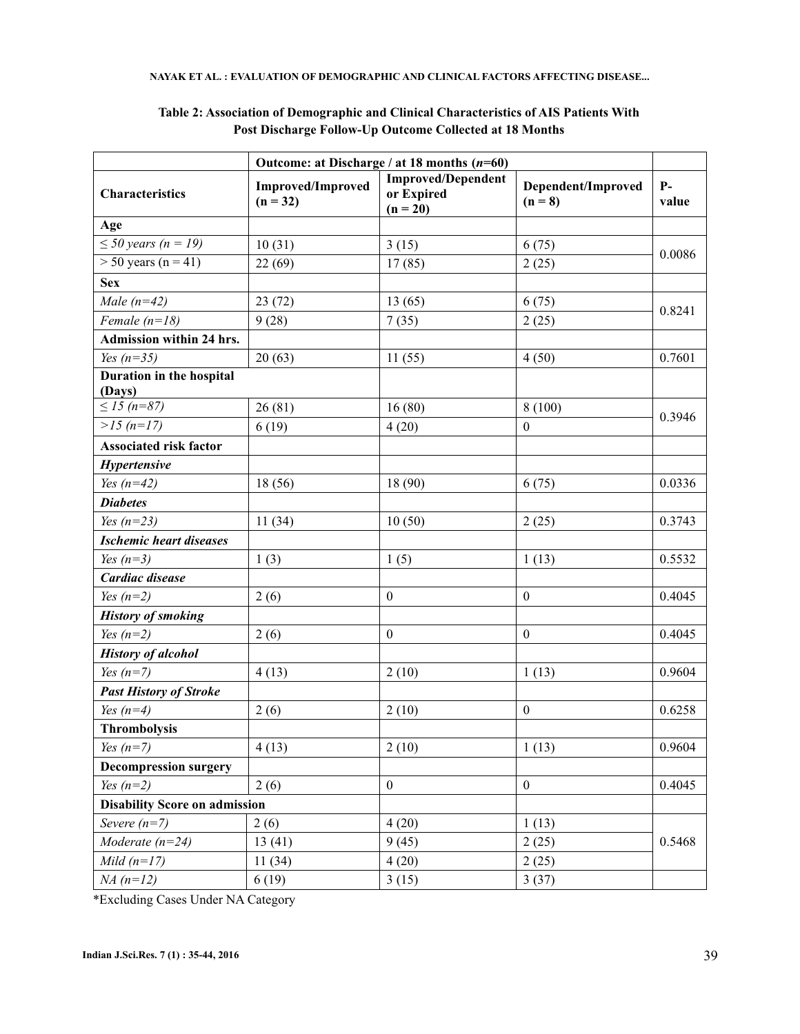|                                      | Outcome: at Discharge / at 18 months $(n=60)$ |                                                       |                                 |               |  |
|--------------------------------------|-----------------------------------------------|-------------------------------------------------------|---------------------------------|---------------|--|
| <b>Characteristics</b>               | <b>Improved/Improved</b><br>$(n = 32)$        | <b>Improved/Dependent</b><br>or Expired<br>$(n = 20)$ | Dependent/Improved<br>$(n = 8)$ | $P-$<br>value |  |
| Age                                  |                                               |                                                       |                                 |               |  |
| $\leq 50$ years (n = 19)             | 10(31)                                        | 3(15)                                                 | 6(75)                           |               |  |
| $>$ 50 years (n = 41)                | 22(69)                                        | 17(85)                                                | 2(25)                           | 0.0086        |  |
| <b>Sex</b>                           |                                               |                                                       |                                 |               |  |
| Male $(n=42)$                        | 23(72)                                        | 13(65)                                                | 6(75)                           | 0.8241        |  |
| Female $(n=18)$                      | 9(28)                                         | 7(35)                                                 | 2(25)                           |               |  |
| Admission within 24 hrs.             |                                               |                                                       |                                 |               |  |
| Yes $(n=35)$                         | 20(63)                                        | 11(55)                                                | 4(50)                           | 0.7601        |  |
| Duration in the hospital<br>(Days)   |                                               |                                                       |                                 |               |  |
| $\leq 15$ (n=87)                     | 26(81)                                        | 16(80)                                                | 8(100)                          |               |  |
| $>15$ (n=17)                         | 6(19)                                         | 4(20)                                                 | $\boldsymbol{0}$                | 0.3946        |  |
| <b>Associated risk factor</b>        |                                               |                                                       |                                 |               |  |
| Hypertensive                         |                                               |                                                       |                                 |               |  |
| Yes $(n=42)$                         | 18(56)                                        | 18 (90)                                               | 6(75)                           | 0.0336        |  |
| <b>Diabetes</b>                      |                                               |                                                       |                                 |               |  |
| Yes $(n=23)$                         | 11(34)                                        | 10(50)                                                | 2(25)                           | 0.3743        |  |
| <b>Ischemic heart diseases</b>       |                                               |                                                       |                                 |               |  |
| Yes $(n=3)$                          | 1(3)                                          | 1(5)                                                  | 1(13)                           | 0.5532        |  |
| Cardiac disease                      |                                               |                                                       |                                 |               |  |
| Yes $(n=2)$                          | 2(6)                                          | $\boldsymbol{0}$                                      | $\boldsymbol{0}$                | 0.4045        |  |
| <b>History of smoking</b>            |                                               |                                                       |                                 |               |  |
| Yes $(n=2)$                          | 2(6)                                          | $\boldsymbol{0}$                                      | $\boldsymbol{0}$                | 0.4045        |  |
| <b>History of alcohol</b>            |                                               |                                                       |                                 |               |  |
| Yes $(n=7)$                          | 4(13)                                         | 2(10)                                                 | 1(13)                           | 0.9604        |  |
| <b>Past History of Stroke</b>        |                                               |                                                       |                                 |               |  |
| Yes $(n=4)$                          | 2(6)                                          | 2(10)                                                 | $\mathbf{0}$                    | 0.6258        |  |
| <b>Thrombolysis</b>                  |                                               |                                                       |                                 |               |  |
| Yes $(n=7)$                          | 4(13)                                         | 2(10)                                                 | 1(13)                           | 0.9604        |  |
| <b>Decompression surgery</b>         |                                               |                                                       |                                 |               |  |
| Yes $(n=2)$                          | 2(6)                                          | $\boldsymbol{0}$                                      | $\boldsymbol{0}$                | 0.4045        |  |
| <b>Disability Score on admission</b> |                                               |                                                       |                                 |               |  |
| Severe $(n=7)$                       | 2(6)                                          | 4(20)                                                 | 1(13)                           |               |  |
| Moderate $(n=24)$                    | 13(41)                                        | 9(45)                                                 | 2(25)                           | 0.5468        |  |
| $Mild(n=17)$                         | 11(34)                                        | 4(20)                                                 | 2(25)                           |               |  |
| $NA(n=12)$                           | 6(19)                                         | 3(15)                                                 | 3(37)                           |               |  |

# **Table 2: Association of Demographic and Clinical Characteristics of AIS Patients With Post Discharge Follow-Up Outcome Collected at 18 Months**

\*Excluding Cases Under NA Category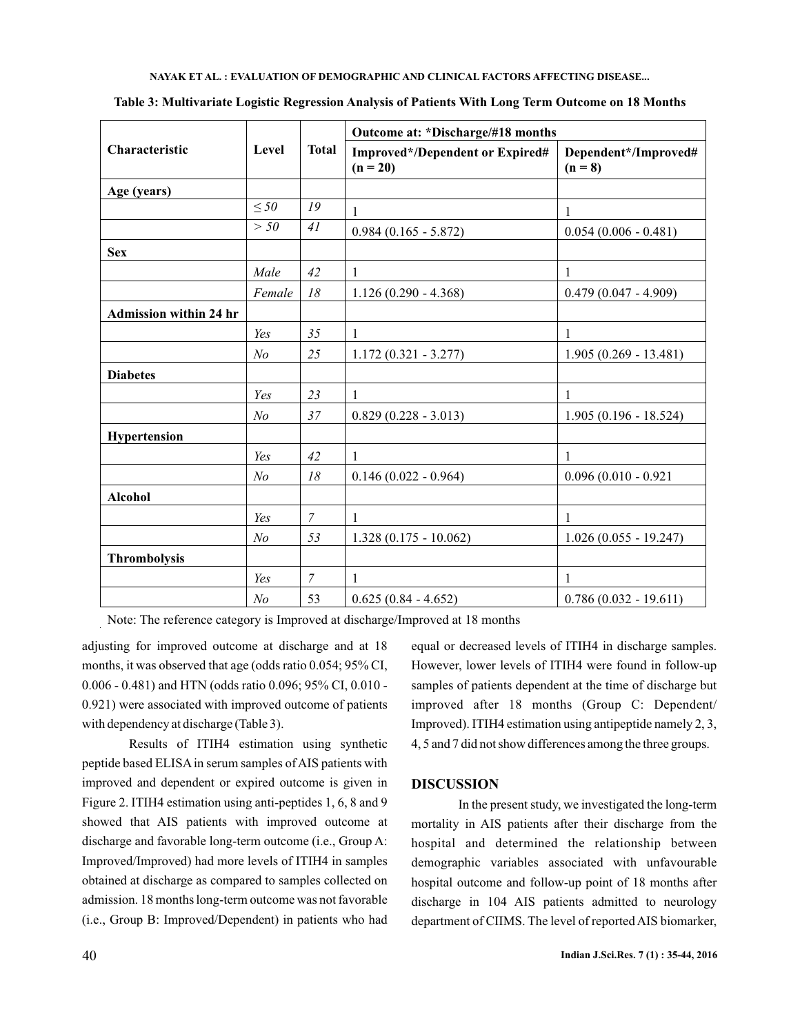| Characteristic                | Level          | <b>Total</b>   | Outcome at: *Discharge/#18 months                    |                                   |  |
|-------------------------------|----------------|----------------|------------------------------------------------------|-----------------------------------|--|
|                               |                |                | <b>Improved*/Dependent or Expired#</b><br>$(n = 20)$ | Dependent*/Improved#<br>$(n = 8)$ |  |
| Age (years)                   |                |                |                                                      |                                   |  |
|                               | $\leq 50$      | 19             | 1                                                    | 1                                 |  |
|                               | > 50           | 41             | $0.984(0.165 - 5.872)$                               | $0.054(0.006 - 0.481)$            |  |
| <b>Sex</b>                    |                |                |                                                      |                                   |  |
|                               | Male           | 42             | 1                                                    | $\mathbf{1}$                      |  |
|                               | Female         | 18             | $1.126(0.290 - 4.368)$                               | $0.479(0.047 - 4.909)$            |  |
| <b>Admission within 24 hr</b> |                |                |                                                      |                                   |  |
|                               | Yes            | 35             | 1                                                    | $\mathbf{1}$                      |  |
|                               | N <sub>o</sub> | 25             | $1.172(0.321 - 3.277)$                               | $1.905(0.269 - 13.481)$           |  |
| <b>Diabetes</b>               |                |                |                                                      |                                   |  |
|                               | Yes            | 23             | 1                                                    | 1                                 |  |
|                               | N <sub>o</sub> | 37             | $0.829(0.228 - 3.013)$                               | $1.905(0.196 - 18.524)$           |  |
| Hypertension                  |                |                |                                                      |                                   |  |
|                               | Yes            | 42             | 1                                                    | $\mathbf{1}$                      |  |
|                               | N <sub>o</sub> | 18             | $0.146(0.022 - 0.964)$                               | $0.096(0.010 - 0.921)$            |  |
| <b>Alcohol</b>                |                |                |                                                      |                                   |  |
|                               | Yes            | $\overline{7}$ | 1                                                    | $\mathbf{1}$                      |  |
|                               | N <sub>o</sub> | 53             | $1.328(0.175 - 10.062)$                              | $1.026(0.055 - 19.247)$           |  |
| <b>Thrombolysis</b>           |                |                |                                                      |                                   |  |
|                               | Yes            | $\overline{7}$ | 1                                                    | 1                                 |  |
|                               | N <sub>o</sub> | 53             | $0.625(0.84 - 4.652)$                                | $0.786(0.032 - 19.611)$           |  |

**Table 3: Multivariate Logistic Regression Analysis of Patients With Long Term Outcome on 18 Months**

Note: The reference category is Improved at discharge/Improved at 18 months

adjusting for improved outcome at discharge and at 18 months, it was observed that age (odds ratio 0.054; 95% CI, 0.006 - 0.481) and HTN (odds ratio 0.096; 95% CI, 0.010 - 0.921) were associated with improved outcome of patients with dependency at discharge (Table 3).

Results of ITIH4 estimation using synthetic peptide based ELISA in serum samples of AIS patients with improved and dependent or expired outcome is given in Figure 2. ITIH4 estimation using anti-peptides 1, 6, 8 and 9 showed that AIS patients with improved outcome at discharge and favorable long-term outcome (i.e., Group A: Improved/Improved) had more levels of ITIH4 in samples obtained at discharge as compared to samples collected on admission. 18 months long-term outcome was not favorable (i.e., Group B: Improved/Dependent) in patients who had

equal or decreased levels of ITIH4 in discharge samples. However, lower levels of ITIH4 were found in follow-up samples of patients dependent at the time of discharge but improved after 18 months (Group C: Dependent/ Improved). ITIH4 estimation using antipeptide namely 2, 3, 4, 5 and 7 did not show differences among the three groups.

## **DISCUSSION**

In the present study, we investigated the long-term mortality in AIS patients after their discharge from the hospital and determined the relationship between demographic variables associated with unfavourable hospital outcome and follow-up point of 18 months after discharge in 104 AIS patients admitted to neurology department of CIIMS. The level of reported AIS biomarker,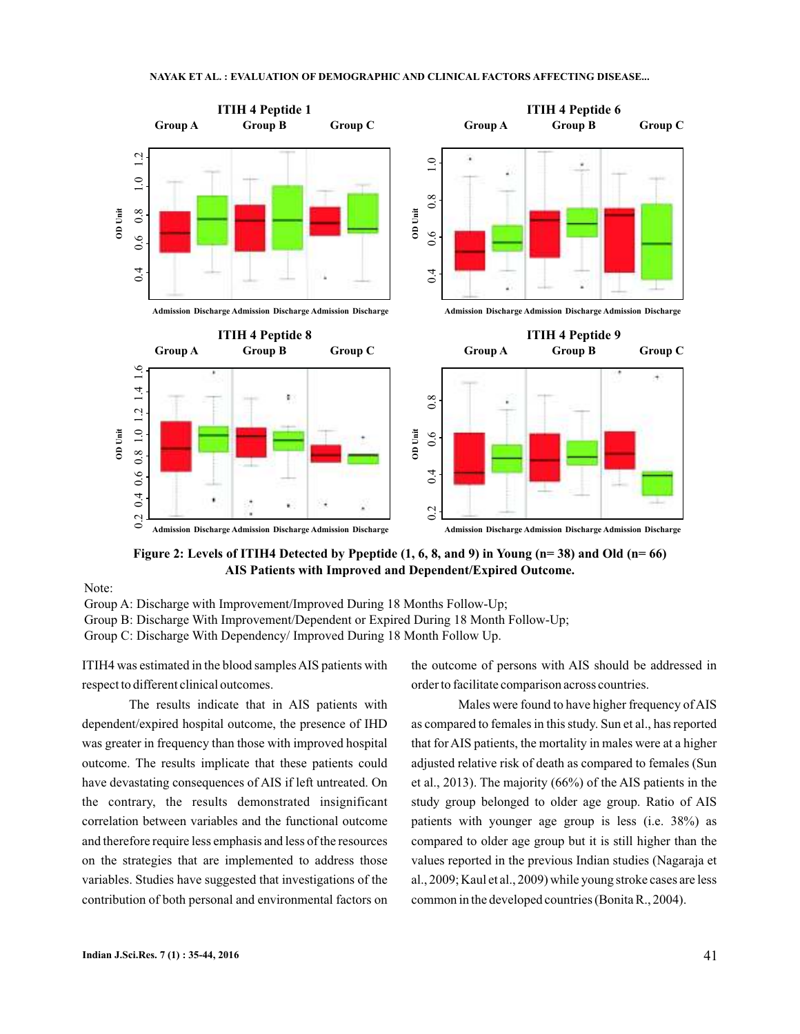

**Figure 2: Levels of ITIH4 Detected by Ppeptide (1, 6, 8, and 9) in Young (n= 38) and Old (n= 66) AIS Patients with Improved and Dependent/Expired Outcome.**

Note:

Group A: Discharge with Improvement/Improved During 18 Months Follow-Up;

Group B: Discharge With Improvement/Dependent or Expired During 18 Month Follow-Up;

Group C: Discharge With Dependency/ Improved During 18 Month Follow Up.

ITIH4 was estimated in the blood samplesAIS patients with respect to different clinical outcomes.

The results indicate that in AIS patients with dependent/expired hospital outcome, the presence of IHD was greater in frequency than those with improved hospital outcome. The results implicate that these patients could have devastating consequences of AIS if left untreated. On the contrary, the results demonstrated insignificant correlation between variables and the functional outcome and therefore require less emphasis and less of the resources on the strategies that are implemented to address those variables. Studies have suggested that investigations of the contribution of both personal and environmental factors on

the outcome of persons with AIS should be addressed in order to facilitate comparison across countries.

Males were found to have higher frequency of AIS as compared to females in this study. Sun et al., has reported that for AIS patients, the mortality in males were at a higher adjusted relative risk of death as compared to females (Sun et al., 2013). The majority (66%) of the AIS patients in the study group belonged to older age group. Ratio of AIS patients with younger age group is less (i.e. 38%) as compared to older age group but it is still higher than the values reported in the previous Indian studies (Nagaraja et al., 2009; Kaul et al., 2009) while young stroke cases are less common in the developed countries (Bonita R., 2004).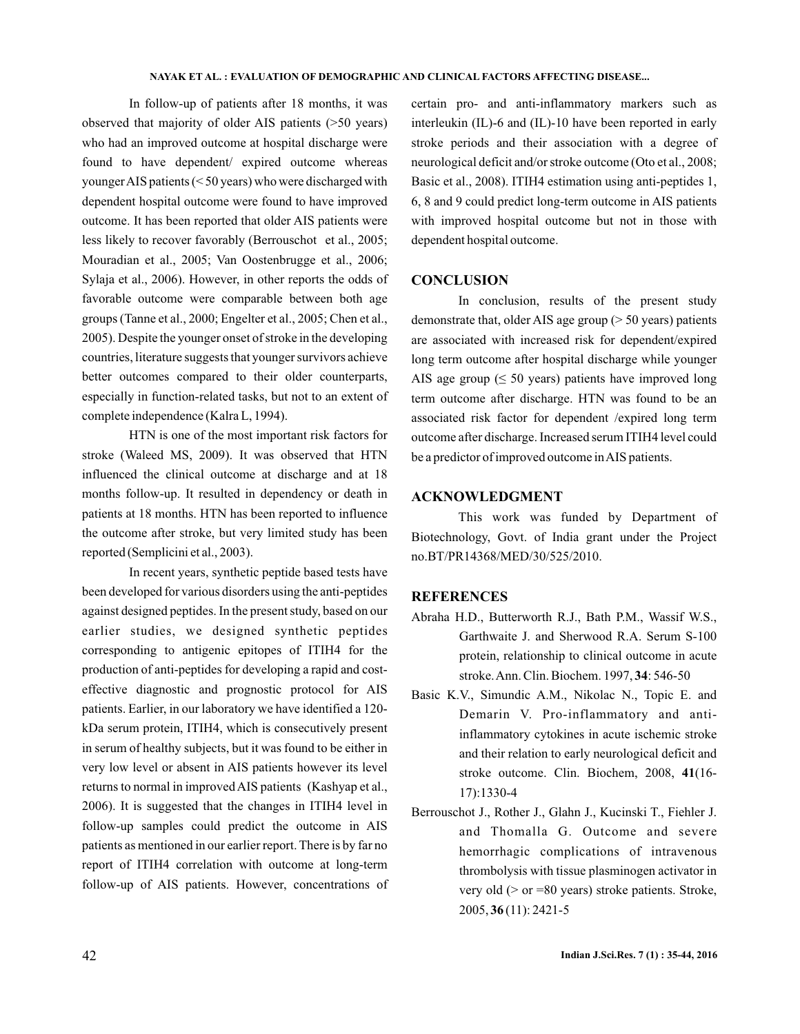In follow-up of patients after 18 months, it was observed that majority of older AIS patients (>50 years) who had an improved outcome at hospital discharge were found to have dependent/ expired outcome whereas youngerAIS patients (< 50 years) who were discharged with dependent hospital outcome were found to have improved outcome. It has been reported that older AIS patients were less likely to recover favorably (Berrouschot et al., 2005; Mouradian et al., 2005; Van Oostenbrugge et al., 2006; Sylaja et al., 2006). However, in other reports the odds of favorable outcome were comparable between both age groups (Tanne et al., 2000; Engelter et al., 2005; Chen et al., 2005). Despite the younger onset of stroke in the developing countries, literature suggests that younger survivors achieve better outcomes compared to their older counterparts, especially in function-related tasks, but not to an extent of complete independence (Kalra L, 1994).

HTN is one of the most important risk factors for stroke (Waleed MS, 2009). It was observed that HTN influenced the clinical outcome at discharge and at 18 months follow-up. It resulted in dependency or death in patients at 18 months. HTN has been reported to influence the outcome after stroke, but very limited study has been reported (Semplicini et al., 2003).

In recent years, synthetic peptide based tests have been developed for various disorders using the anti-peptides against designed peptides. In the present study, based on our earlier studies, we designed synthetic peptides corresponding to antigenic epitopes of ITIH4 for the production of anti-peptides for developing a rapid and costeffective diagnostic and prognostic protocol for AIS patients. Earlier, in our laboratory we have identified a 120 kDa serum protein, ITIH4, which is consecutively present in serum of healthy subjects, but it was found to be either in very low level or absent in AIS patients however its level returns to normal in improved AIS patients (Kashyap et al., 2006). It is suggested that the changes in ITIH4 level in follow-up samples could predict the outcome in AIS patients as mentioned in our earlier report. There is by far no report of ITIH4 correlation with outcome at long-term follow-up of AIS patients. However, concentrations of certain pro- and anti-inflammatory markers such as interleukin (IL)-6 and (IL)-10 have been reported in early stroke periods and their association with a degree of neurological deficit and/or stroke outcome (Oto et al., 2008; Basic et al., 2008). ITIH4 estimation using anti-peptides 1, 6, 8 and 9 could predict long-term outcome in AIS patients with improved hospital outcome but not in those with dependent hospital outcome.

## **CONCLUSION**

In conclusion, results of the present study demonstrate that, older AIS age group (> 50 years) patients are associated with increased risk for dependent/expired long term outcome after hospital discharge while younger AIS age group  $( \leq 50 \text{ years})$  patients have improved long term outcome after discharge. HTN was found to be an associated risk factor for dependent /expired long term outcome after discharge. Increased serum ITIH4 level could be a predictor of improved outcome inAIS patients.

## **ACKNOWLEDGMENT**

This work was funded by Department of Biotechnology, Govt. of India grant under the Project no.BT/PR14368/MED/30/525/2010.

## **REFERENCES**

- Abraha H.D., Butterworth R.J., Bath P.M., Wassif W.S., Garthwaite J. and Sherwood R.A. Serum S-100 protein, relationship to clinical outcome in acute stroke. Ann. Clin. Biochem. 1997, 34: 546-50
- Basic K.V., Simundic A.M., Nikolac N., Topic E. and Demarin V. Pro-inflammatory and antiinflammatory cytokines in acute ischemic stroke and their relation to early neurological deficit and stroke outcome. Clin. Biochem, 2008, 41(16-17):1330-4
- Berrouschot J., Rother J., Glahn J., Kucinski T., Fiehler J. and Thomalla G. Outcome and severe hemorrhagic complications of intravenous thrombolysis with tissue plasminogen activator in very old (> or =80 years) stroke patients. Stroke, 2005, (11): 2421-5 **36**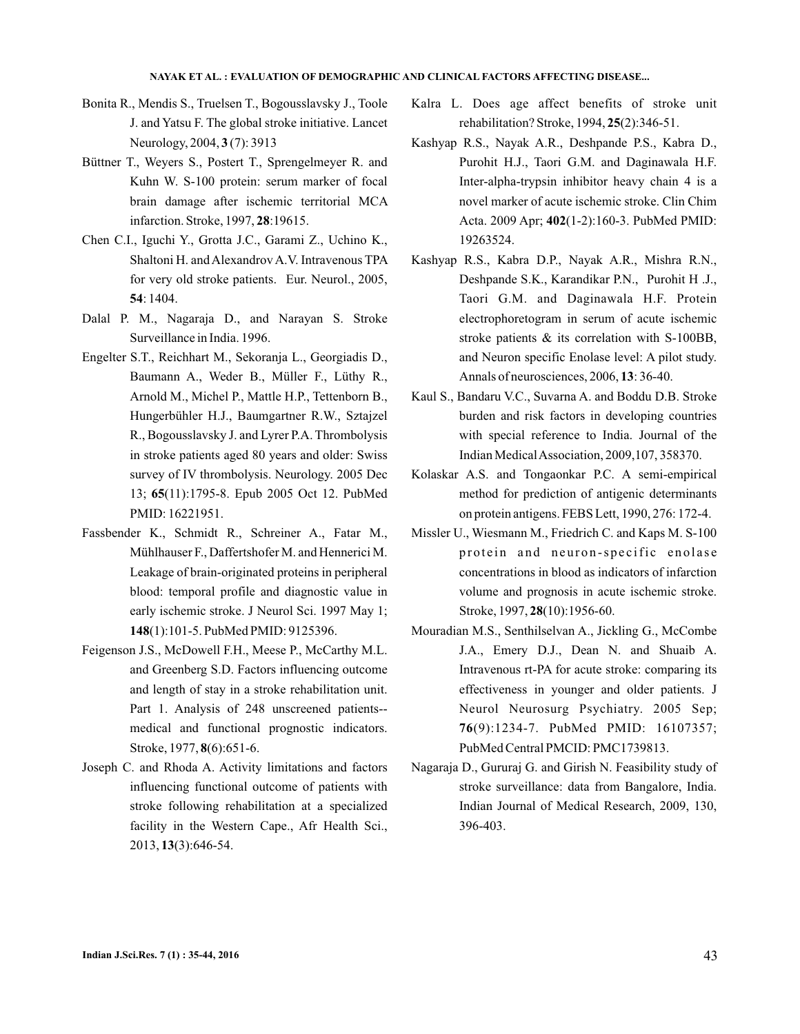- Bonita R., Mendis S., Truelsen T., Bogousslavsky J., Toole J. and Yatsu F. The global stroke initiative. Lancet Neurology, 2004, 3(7): 3913
- Büttner T., Weyers S., Postert T., Sprengelmeyer R. and Kuhn W. S-100 protein: serum marker of focal brain damage after ischemic territorial MCA infarction. Stroke, 1997, 28:19615.
- Chen C.I., Iguchi Y., Grotta J.C., Garami Z., Uchino K., Shaltoni H. and Alexandrov A.V. Intravenous TPA for very old stroke patients. Eur. Neurol., 2005, : 1404. **54**
- Dalal P. M., Nagaraja D., and Narayan S. Stroke Surveillance in India. 1996.
- Engelter S.T., Reichhart M., Sekoranja L., Georgiadis D., Baumann A., Weder B., Müller F., Lüthy R., Arnold M., Michel P., Mattle H.P., Tettenborn B., Hungerbühler H.J., Baumgartner R.W., Sztajzel R., Bogousslavsky J. and Lyrer P.A. Thrombolysis in stroke patients aged 80 years and older: Swiss survey of IV thrombolysis. Neurology. 2005 Dec 13; 65(11):1795-8. Epub 2005 Oct 12. PubMed PMID: 16221951.
- Fassbender K., Schmidt R., Schreiner A., Fatar M., Mühlhauser F., Daffertshofer M. and Hennerici M. Leakage of brain-originated proteins in peripheral blood: temporal profile and diagnostic value in early ischemic stroke. J Neurol Sci. 1997 May 1; (1):101-5. PubMed PMID: 9125396. **148**
- Feigenson J.S., McDowell F.H., Meese P., McCarthy M.L. and Greenberg S.D. Factors influencing outcome and length of stay in a stroke rehabilitation unit. Part 1. Analysis of 248 unscreened patients- medical and functional prognostic indicators. Stroke, 1977, 8(6):651-6.
- Joseph C. and Rhoda A. Activity limitations and factors influencing functional outcome of patients with stroke following rehabilitation at a specialized facility in the Western Cape., Afr Health Sci., 2013, (3):646-54. **13**
- Kalra L. Does age affect benefits of stroke unit rehabilitation? Stroke, 1994, 25(2):346-51.
- Kashyap R.S., Nayak A.R., Deshpande P.S., Kabra D., Purohit H.J., Taori G.M. and Daginawala H.F. Inter-alpha-trypsin inhibitor heavy chain 4 is a novel marker of acute ischemic stroke. Clin Chim Acta. 2009 Apr; 402(1-2):160-3. PubMed PMID: 19263524.
- Kashyap R.S., Kabra D.P., Nayak A.R., Mishra R.N., Deshpande S.K., Karandikar P.N., Purohit H .J., Taori G.M. and Daginawala H.F. Protein electrophoretogram in serum of acute ischemic stroke patients & its correlation with S-100BB, and Neuron specific Enolase level: A pilot study. Annals of neurosciences, 2006, 13: 36-40.
- Kaul S., Bandaru V.C., Suvarna A. and Boddu D.B. Stroke burden and risk factors in developing countries with special reference to India. Journal of the Indian MedicalAssociation, 2009,107, 358370.
- Kolaskar A.S. and Tongaonkar P.C. A semi-empirical method for prediction of antigenic determinants on protein antigens. FEBS Lett, 1990, 276: 172-4.
- Missler U., Wiesmann M., Friedrich C. and Kaps M. S-100 protein and neuron-specific enolase concentrations in blood as indicators of infarction volume and prognosis in acute ischemic stroke. Stroke, 1997, 28(10):1956-60.
- Mouradian M.S., Senthilselvan A., Jickling G., McCombe J.A., Emery D.J., Dean N. and Shuaib A. Intravenous rt-PA for acute stroke: comparing its effectiveness in younger and older patients. J Neurol Neurosurg Psychiatry. 2005 Sep; (9):1234-7. PubMed PMID: 16107357; **76** PubMed Central PMCID: PMC1739813.
- Nagaraja D., Gururaj G. and Girish N. Feasibility study of stroke surveillance: data from Bangalore, India. Indian Journal of Medical Research, 2009, 130, 396-403.